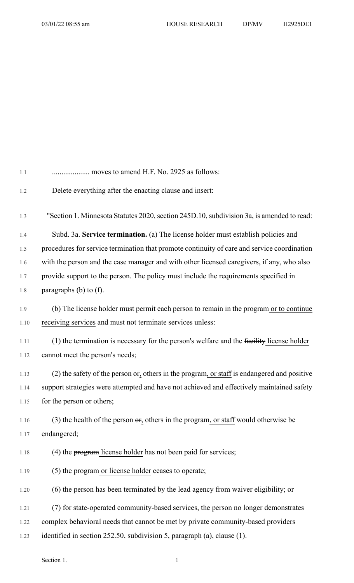| 1.1  | moves to amend H.F. No. 2925 as follows:                                                           |
|------|----------------------------------------------------------------------------------------------------|
| 1.2  | Delete everything after the enacting clause and insert:                                            |
| 1.3  | "Section 1. Minnesota Statutes 2020, section 245D.10, subdivision 3a, is amended to read:          |
| 1.4  | Subd. 3a. Service termination. (a) The license holder must establish policies and                  |
| 1.5  | procedures for service termination that promote continuity of care and service coordination        |
| 1.6  | with the person and the case manager and with other licensed caregivers, if any, who also          |
| 1.7  | provide support to the person. The policy must include the requirements specified in               |
| 1.8  | paragraphs $(b)$ to $(f)$ .                                                                        |
| 1.9  | (b) The license holder must permit each person to remain in the program or to continue             |
| 1.10 | receiving services and must not terminate services unless:                                         |
| 1.11 | (1) the termination is necessary for the person's welfare and the facility license holder          |
| 1.12 | cannot meet the person's needs;                                                                    |
| 1.13 | (2) the safety of the person $\Theta$ , others in the program, or staff is endangered and positive |
| 1.14 | support strategies were attempted and have not achieved and effectively maintained safety          |
| 1.15 | for the person or others;                                                                          |
| 1.16 | (3) the health of the person $\Theta$ , others in the program, or staff would otherwise be         |
| 1.17 | endangered;                                                                                        |
| 1.18 | (4) the program license holder has not been paid for services;                                     |
| 1.19 | (5) the program or license holder ceases to operate;                                               |
| 1.20 | (6) the person has been terminated by the lead agency from waiver eligibility; or                  |
| 1.21 | (7) for state-operated community-based services, the person no longer demonstrates                 |
| 1.22 | complex behavioral needs that cannot be met by private community-based providers                   |
| 1.23 | identified in section 252.50, subdivision 5, paragraph (a), clause (1).                            |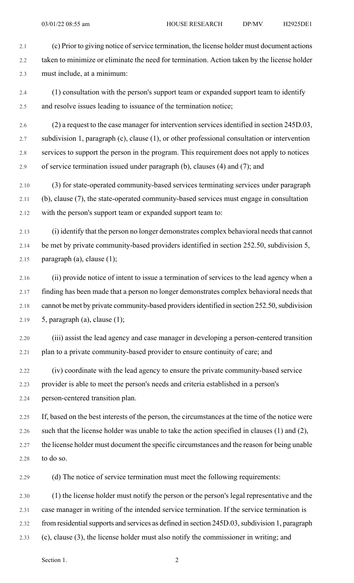2.1 (c) Prior to giving notice of service termination, the license holder must document actions 2.2 taken to minimize or eliminate the need for termination. Action taken by the license holder 2.3 must include, at a minimum:

- 2.4 (1) consultation with the person's support team or expanded support team to identify 2.5 and resolve issues leading to issuance of the termination notice;
- 2.6 (2) a request to the case manager for intervention services identified in section 245D.03, 2.7 subdivision 1, paragraph (c), clause (1), or other professional consultation or intervention 2.8 services to support the person in the program. This requirement does not apply to notices 2.9 of service termination issued under paragraph (b), clauses (4) and (7); and
- 2.10 (3) for state-operated community-based services terminating services under paragraph 2.11 (b), clause (7), the state-operated community-based services must engage in consultation 2.12 with the person's support team or expanded support team to:
- 2.13 (i) identify that the person no longer demonstrates complex behavioral needs that cannot 2.14 be met by private community-based providers identified in section 252.50, subdivision 5, 2.15 paragraph (a), clause  $(1)$ ;
- 2.16 (ii) provide notice of intent to issue a termination of services to the lead agency when a 2.17 finding has been made that a person no longer demonstrates complex behavioral needs that 2.18 cannot be met by private community-based providers identified in section 252.50, subdivision 2.19  $5$ , paragraph (a), clause (1);
- 2.20 (iii) assist the lead agency and case manager in developing a person-centered transition 2.21 plan to a private community-based provider to ensure continuity of care; and
- 2.22 (iv) coordinate with the lead agency to ensure the private community-based service 2.23 provider is able to meet the person's needs and criteria established in a person's 2.24 person-centered transition plan.
- 2.25 If, based on the best interests of the person, the circumstances at the time of the notice were 2.26 such that the license holder was unable to take the action specified in clauses (1) and (2), 2.27 the license holder must document the specific circumstances and the reason for being unable 2.28 to do so.
- 2.29 (d) The notice of service termination must meet the following requirements:
- 2.30 (1) the license holder must notify the person or the person's legal representative and the 2.31 case manager in writing of the intended service termination. If the service termination is 2.32 from residential supports and services as defined in section 245D.03, subdivision 1, paragraph 2.33 (c), clause (3), the license holder must also notify the commissioner in writing; and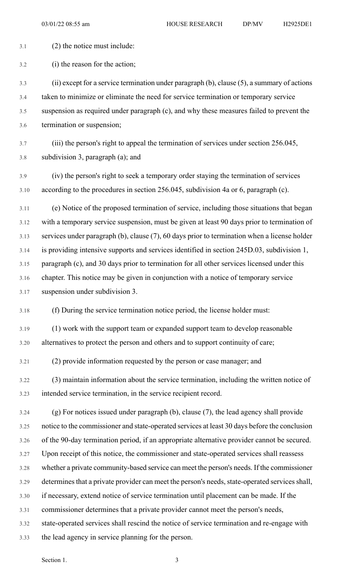- 3.1 (2) the notice must include: 3.2 (i) the reason for the action; 3.3 (ii) except for a service termination under paragraph (b), clause (5), a summary of actions 3.4 taken to minimize or eliminate the need for service termination or temporary service 3.5 suspension as required under paragraph (c), and why these measures failed to prevent the 3.6 termination or suspension; 3.7 (iii) the person's right to appeal the termination of services under section 256.045, 3.8 subdivision 3, paragraph (a); and 3.9 (iv) the person's right to seek a temporary order staying the termination of services 3.10 according to the procedures in section 256.045, subdivision 4a or 6, paragraph (c). 3.11 (e) Notice of the proposed termination of service, including those situations that began 3.12 with a temporary service suspension, must be given at least 90 days prior to termination of 3.13 services under paragraph (b), clause (7), 60 days prior to termination when a license holder 3.14 is providing intensive supports and services identified in section 245D.03, subdivision 1, 3.15 paragraph (c), and 30 days prior to termination for all other services licensed under this 3.16 chapter. This notice may be given in conjunction with a notice of temporary service 3.17 suspension under subdivision 3. 3.18 (f) During the service termination notice period, the license holder must: 3.19 (1) work with the support team or expanded support team to develop reasonable 3.20 alternatives to protect the person and others and to support continuity of care; 3.21 (2) provide information requested by the person or case manager; and 3.22 (3) maintain information about the service termination, including the written notice of 3.23 intended service termination, in the service recipient record. 3.24 (g) For notices issued under paragraph (b), clause (7), the lead agency shall provide 3.25 notice to the commissioner and state-operated services at least 30 days before the conclusion 3.26 of the 90-day termination period, if an appropriate alternative provider cannot be secured. 3.27 Upon receipt of this notice, the commissioner and state-operated services shall reassess 3.28 whether a private community-based service can meet the person's needs. If the commissioner 3.29 determines that a private provider can meet the person's needs, state-operated services shall, 3.30 if necessary, extend notice of service termination until placement can be made. If the 3.31 commissioner determines that a private provider cannot meet the person's needs,
	- 3.32 state-operated services shall rescind the notice of service termination and re-engage with
	- 3.33 the lead agency in service planning for the person.

Section 1. 3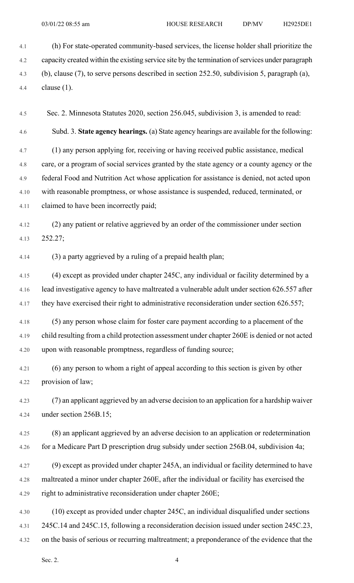4.1 (h) For state-operated community-based services, the license holder shall prioritize the 4.2 capacity created within the existing service site by the termination of services under paragraph 4.3 (b), clause (7), to serve persons described in section 252.50, subdivision 5, paragraph (a), 4.4 clause (1).

4.5 Sec. 2. Minnesota Statutes 2020, section 256.045, subdivision 3, is amended to read:

4.6 Subd. 3. **State agency hearings.** (a) State agency hearings are available for the following:

4.7 (1) any person applying for, receiving or having received public assistance, medical 4.8 care, or a program of social services granted by the state agency or a county agency or the 4.9 federal Food and Nutrition Act whose application for assistance is denied, not acted upon 4.10 with reasonable promptness, or whose assistance is suspended, reduced, terminated, or 4.11 claimed to have been incorrectly paid;

4.12 (2) any patient or relative aggrieved by an order of the commissioner under section 4.13 252.27;

4.14 (3) a party aggrieved by a ruling of a prepaid health plan;

4.15 (4) except as provided under chapter 245C, any individual or facility determined by a 4.16 lead investigative agency to have maltreated a vulnerable adult under section 626.557 after 4.17 they have exercised their right to administrative reconsideration under section 626.557;

4.18 (5) any person whose claim for foster care payment according to a placement of the 4.19 child resulting from a child protection assessment under chapter 260E is denied or not acted 4.20 upon with reasonable promptness, regardless of funding source;

4.21 (6) any person to whom a right of appeal according to this section is given by other 4.22 provision of law;

4.23 (7) an applicant aggrieved by an adverse decision to an application for a hardship waiver 4.24 under section 256B.15;

4.25 (8) an applicant aggrieved by an adverse decision to an application or redetermination 4.26 for a Medicare Part D prescription drug subsidy under section 256B.04, subdivision 4a;

- 4.27 (9) except as provided under chapter 245A, an individual or facility determined to have 4.28 maltreated a minor under chapter 260E, after the individual or facility has exercised the 4.29 right to administrative reconsideration under chapter 260E;
- 4.30 (10) except as provided under chapter 245C, an individual disqualified under sections 4.31 245C.14 and 245C.15, following a reconsideration decision issued under section 245C.23, 4.32 on the basis of serious or recurring maltreatment; a preponderance of the evidence that the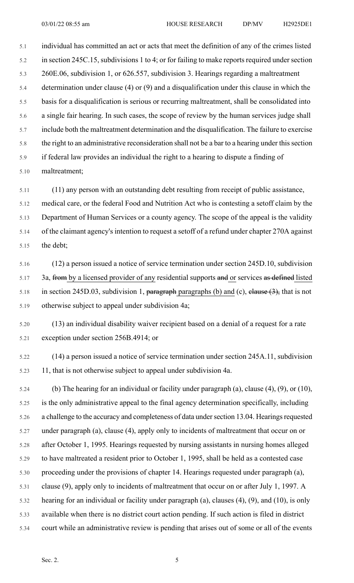5.1 individual has committed an act or acts that meet the definition of any of the crimes listed 5.2 in section 245C.15, subdivisions 1 to 4; or for failing to make reports required under section 5.3 260E.06, subdivision 1, or 626.557, subdivision 3. Hearings regarding a maltreatment 5.4 determination under clause (4) or (9) and a disqualification under this clause in which the 5.5 basis for a disqualification is serious or recurring maltreatment, shall be consolidated into 5.6 a single fair hearing. In such cases, the scope of review by the human services judge shall 5.7 include both the maltreatment determination and the disqualification. The failure to exercise 5.8 the right to an administrative reconsideration shall not be a bar to a hearing under this section 5.9 if federal law provides an individual the right to a hearing to dispute a finding of

5.10 maltreatment;

5.11 (11) any person with an outstanding debt resulting from receipt of public assistance,

5.12 medical care, or the federal Food and Nutrition Act who is contesting a setoff claim by the 5.13 Department of Human Services or a county agency. The scope of the appeal is the validity 5.14 of the claimant agency's intention to request a setoff of a refund under chapter 270A against 5.15 the debt;

5.16 (12) a person issued a notice of service termination under section 245D.10, subdivision 5.17 3a, from by a licensed provider of any residential supports and or services as defined listed 5.18 in section 245D.03, subdivision 1, paragraph paragraphs (b) and (c), clause  $(3)$ , that is not 5.19 otherwise subject to appeal under subdivision 4a;

5.20 (13) an individual disability waiver recipient based on a denial of a request for a rate 5.21 exception under section 256B.4914; or

5.22 (14) a person issued a notice of service termination under section 245A.11, subdivision 5.23 11, that is not otherwise subject to appeal under subdivision 4a.

5.24 (b) The hearing for an individual or facility under paragraph (a), clause (4), (9), or (10), 5.25 is the only administrative appeal to the final agency determination specifically, including 5.26 a challenge to the accuracy and completeness of data under section 13.04. Hearings requested 5.27 under paragraph (a), clause (4), apply only to incidents of maltreatment that occur on or 5.28 after October 1, 1995. Hearings requested by nursing assistants in nursing homes alleged 5.29 to have maltreated a resident prior to October 1, 1995, shall be held as a contested case 5.30 proceeding under the provisions of chapter 14. Hearings requested under paragraph (a), 5.31 clause (9), apply only to incidents of maltreatment that occur on or after July 1, 1997. A 5.32 hearing for an individual or facility under paragraph (a), clauses (4), (9), and (10), is only 5.33 available when there is no district court action pending. If such action is filed in district 5.34 court while an administrative review is pending that arises out of some or all of the events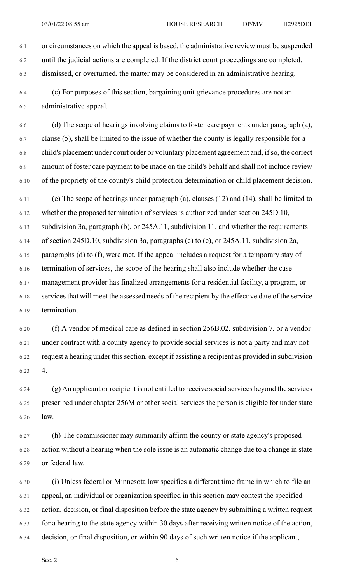6.1 or circumstances on which the appeal is based, the administrative review must be suspended

6.2 until the judicial actions are completed. If the district court proceedings are completed, 6.3 dismissed, or overturned, the matter may be considered in an administrative hearing.

6.4 (c) For purposes of this section, bargaining unit grievance procedures are not an 6.5 administrative appeal.

6.6 (d) The scope of hearings involving claims to foster care payments under paragraph (a), 6.7 clause (5), shall be limited to the issue of whether the county is legally responsible for a 6.8 child's placement under court order or voluntary placement agreement and, if so, the correct 6.9 amount of foster care payment to be made on the child's behalf and shall not include review 6.10 of the propriety of the county's child protection determination or child placement decision.

6.11 (e) The scope of hearings under paragraph (a), clauses (12) and (14), shall be limited to 6.12 whether the proposed termination of services is authorized under section 245D.10, 6.13 subdivision 3a, paragraph (b), or 245A.11, subdivision 11, and whether the requirements 6.14 of section 245D.10, subdivision 3a, paragraphs (c) to (e), or 245A.11, subdivision 2a, 6.15 paragraphs (d) to (f), were met. If the appeal includes a request for a temporary stay of 6.16 termination of services, the scope of the hearing shall also include whether the case 6.17 management provider has finalized arrangements for a residential facility, a program, or 6.18 services that will meet the assessed needs of the recipient by the effective date of the service 6.19 termination.

6.20 (f) A vendor of medical care as defined in section 256B.02, subdivision 7, or a vendor 6.21 under contract with a county agency to provide social services is not a party and may not 6.22 request a hearing under this section, except if assisting a recipient as provided in subdivision 6.23 4.

6.24 (g) An applicant or recipient is not entitled to receive socialservices beyond the services 6.25 prescribed under chapter 256M or other social services the person is eligible for under state 6.26 law.

6.27 (h) The commissioner may summarily affirm the county or state agency's proposed 6.28 action without a hearing when the sole issue is an automatic change due to a change in state 6.29 or federal law.

6.30 (i) Unless federal or Minnesota law specifies a different time frame in which to file an 6.31 appeal, an individual or organization specified in this section may contest the specified 6.32 action, decision, or final disposition before the state agency by submitting a written request 6.33 for a hearing to the state agency within 30 days after receiving written notice of the action, 6.34 decision, or final disposition, or within 90 days of such written notice if the applicant,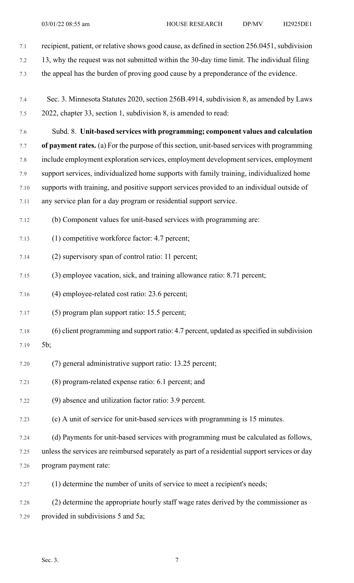- 7.1 recipient, patient, or relative shows good cause, as defined in section 256.0451, subdivision
- 7.2 13, why the request was not submitted within the 30-day time limit. The individual filing
- 7.3 the appeal has the burden of proving good cause by a preponderance of the evidence.
- 7.4 Sec. 3. Minnesota Statutes 2020, section 256B.4914, subdivision 8, as amended by Laws 7.5 2022, chapter 33, section 1, subdivision 8, is amended to read:
- 7.6 Subd. 8. **Unit-based services with programming; component values and calculation**

7.7 **of payment rates.** (a) For the purpose of thissection, unit-based services with programming 7.8 include employment exploration services, employment development services, employment 7.9 support services, individualized home supports with family training, individualized home

- 7.10 supports with training, and positive support services provided to an individual outside of
- 7.11 any service plan for a day program or residential support service.
- 7.12 (b) Component values for unit-based services with programming are:
- 7.13 (1) competitive workforce factor: 4.7 percent;
- 7.14 (2) supervisory span of control ratio: 11 percent;
- 7.15 (3) employee vacation, sick, and training allowance ratio: 8.71 percent;
- 7.16 (4) employee-related cost ratio: 23.6 percent;
- 7.17 (5) program plan support ratio: 15.5 percent;
- 7.18 (6) client programming and support ratio: 4.7 percent, updated asspecified in subdivision
- 7.19 5b;
- 7.20 (7) general administrative support ratio: 13.25 percent;
- 7.21 (8) program-related expense ratio: 6.1 percent; and
- 7.22 (9) absence and utilization factor ratio: 3.9 percent.
- 7.23 (c) A unit of service for unit-based services with programming is 15 minutes.
- 7.24 (d) Payments for unit-based services with programming must be calculated as follows,
- 7.25 unless the services are reimbursed separately as part of a residential support services or day 7.26 program payment rate:
- 7.27 (1) determine the number of units of service to meet a recipient's needs;
- 7.28 (2) determine the appropriate hourly staff wage rates derived by the commissioner as 7.29 provided in subdivisions 5 and 5a;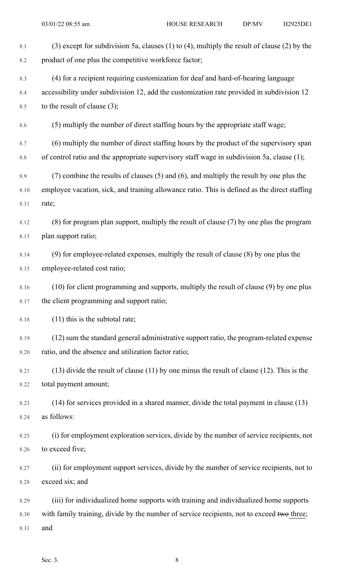| 8.1  | (3) except for subdivision 5a, clauses (1) to (4), multiply the result of clause (2) by the      |
|------|--------------------------------------------------------------------------------------------------|
| 8.2  | product of one plus the competitive workforce factor;                                            |
| 8.3  | (4) for a recipient requiring customization for deaf and hard-of-hearing language                |
| 8.4  | accessibility under subdivision 12, add the customization rate provided in subdivision 12        |
| 8.5  | to the result of clause $(3)$ ;                                                                  |
| 8.6  | (5) multiply the number of direct staffing hours by the appropriate staff wage;                  |
| 8.7  | (6) multiply the number of direct staffing hours by the product of the supervisory span          |
| 8.8  | of control ratio and the appropriate supervisory staff wage in subdivision 5a, clause (1);       |
| 8.9  | $(7)$ combine the results of clauses $(5)$ and $(6)$ , and multiply the result by one plus the   |
| 8.10 | employee vacation, sick, and training allowance ratio. This is defined as the direct staffing    |
| 8.11 | rate;                                                                                            |
| 8.12 | (8) for program plan support, multiply the result of clause (7) by one plus the program          |
| 8.13 | plan support ratio;                                                                              |
| 8.14 | $(9)$ for employee-related expenses, multiply the result of clause $(8)$ by one plus the         |
| 8.15 | employee-related cost ratio;                                                                     |
| 8.16 | (10) for client programming and supports, multiply the result of clause (9) by one plus          |
| 8.17 | the client programming and support ratio;                                                        |
| 8.18 | $(11)$ this is the subtotal rate;                                                                |
| 8.19 | (12) sum the standard general administrative support ratio, the program-related expense          |
| 8.20 | ratio, and the absence and utilization factor ratio;                                             |
| 8.21 | $(13)$ divide the result of clause $(11)$ by one minus the result of clause $(12)$ . This is the |
| 8.22 | total payment amount;                                                                            |
| 8.23 | (14) for services provided in a shared manner, divide the total payment in clause (13)           |
| 8.24 | as follows:                                                                                      |
| 8.25 | (i) for employment exploration services, divide by the number of service recipients, not         |
| 8.26 | to exceed five;                                                                                  |
| 8.27 | (ii) for employment support services, divide by the number of service recipients, not to         |
| 8.28 | exceed six; and                                                                                  |
| 8.29 | (iii) for individualized home supports with training and individualized home supports            |
| 8.30 | with family training, divide by the number of service recipients, not to exceed two three;       |
| 8.31 | and                                                                                              |
|      |                                                                                                  |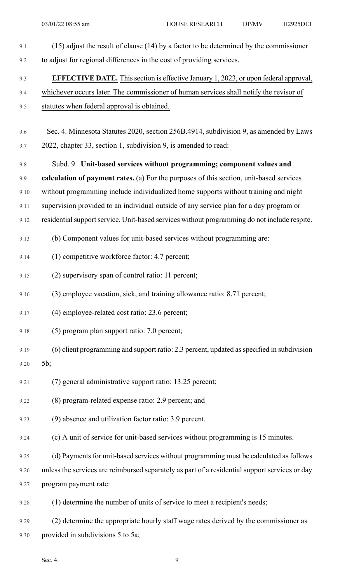| 9.1  | $(15)$ adjust the result of clause $(14)$ by a factor to be determined by the commissioner     |
|------|------------------------------------------------------------------------------------------------|
| 9.2  | to adjust for regional differences in the cost of providing services.                          |
| 9.3  | <b>EFFECTIVE DATE.</b> This section is effective January 1, 2023, or upon federal approval,    |
| 9.4  | whichever occurs later. The commissioner of human services shall notify the revisor of         |
| 9.5  | statutes when federal approval is obtained.                                                    |
| 9.6  | Sec. 4. Minnesota Statutes 2020, section 256B.4914, subdivision 9, as amended by Laws          |
| 9.7  | 2022, chapter 33, section 1, subdivision 9, is amended to read:                                |
| 9.8  | Subd. 9. Unit-based services without programming; component values and                         |
| 9.9  | calculation of payment rates. (a) For the purposes of this section, unit-based services        |
| 9.10 | without programming include individualized home supports without training and night            |
| 9.11 | supervision provided to an individual outside of any service plan for a day program or         |
| 9.12 | residential support service. Unit-based services without programming do not include respite.   |
| 9.13 | (b) Component values for unit-based services without programming are:                          |
| 9.14 | (1) competitive workforce factor: 4.7 percent;                                                 |
| 9.15 | (2) supervisory span of control ratio: 11 percent;                                             |
| 9.16 | (3) employee vacation, sick, and training allowance ratio: 8.71 percent;                       |
| 9.17 | (4) employee-related cost ratio: 23.6 percent;                                                 |
| 9.18 | (5) program plan support ratio: 7.0 percent;                                                   |
| 9.19 | (6) client programming and support ratio: 2.3 percent, updated as specified in subdivision     |
| 9.20 | 5b;                                                                                            |
| 9.21 | (7) general administrative support ratio: 13.25 percent;                                       |
| 9.22 | (8) program-related expense ratio: 2.9 percent; and                                            |
| 9.23 | (9) absence and utilization factor ratio: 3.9 percent.                                         |
| 9.24 | (c) A unit of service for unit-based services without programming is 15 minutes.               |
| 9.25 | (d) Payments for unit-based services without programming must be calculated as follows         |
| 9.26 | unless the services are reimbursed separately as part of a residential support services or day |
| 9.27 | program payment rate:                                                                          |
| 9.28 | (1) determine the number of units of service to meet a recipient's needs;                      |
| 9.29 | (2) determine the appropriate hourly staff wage rates derived by the commissioner as           |
| 9.30 | provided in subdivisions 5 to 5a;                                                              |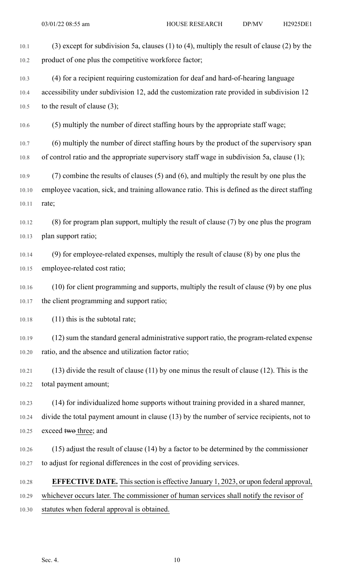| 10.1  | (3) except for subdivision 5a, clauses (1) to (4), multiply the result of clause (2) by the      |
|-------|--------------------------------------------------------------------------------------------------|
| 10.2  | product of one plus the competitive workforce factor;                                            |
| 10.3  | (4) for a recipient requiring customization for deaf and hard-of-hearing language                |
| 10.4  | accessibility under subdivision 12, add the customization rate provided in subdivision 12        |
| 10.5  | to the result of clause $(3)$ ;                                                                  |
| 10.6  | (5) multiply the number of direct staffing hours by the appropriate staff wage;                  |
| 10.7  | (6) multiply the number of direct staffing hours by the product of the supervisory span          |
| 10.8  | of control ratio and the appropriate supervisory staff wage in subdivision 5a, clause (1);       |
| 10.9  | $(7)$ combine the results of clauses $(5)$ and $(6)$ , and multiply the result by one plus the   |
| 10.10 | employee vacation, sick, and training allowance ratio. This is defined as the direct staffing    |
| 10.11 | rate;                                                                                            |
| 10.12 | (8) for program plan support, multiply the result of clause (7) by one plus the program          |
| 10.13 | plan support ratio;                                                                              |
| 10.14 | $(9)$ for employee-related expenses, multiply the result of clause $(8)$ by one plus the         |
| 10.15 | employee-related cost ratio;                                                                     |
| 10.16 | (10) for client programming and supports, multiply the result of clause (9) by one plus          |
| 10.17 | the client programming and support ratio;                                                        |
| 10.18 | $(11)$ this is the subtotal rate;                                                                |
| 10.19 | (12) sum the standard general administrative support ratio, the program-related expense          |
| 10.20 | ratio, and the absence and utilization factor ratio;                                             |
| 10.21 | $(13)$ divide the result of clause $(11)$ by one minus the result of clause $(12)$ . This is the |
| 10.22 | total payment amount;                                                                            |
| 10.23 | (14) for individualized home supports without training provided in a shared manner,              |
| 10.24 | divide the total payment amount in clause (13) by the number of service recipients, not to       |
| 10.25 | exceed two three; and                                                                            |
| 10.26 | $(15)$ adjust the result of clause $(14)$ by a factor to be determined by the commissioner       |
| 10.27 | to adjust for regional differences in the cost of providing services.                            |
| 10.28 | <b>EFFECTIVE DATE.</b> This section is effective January 1, 2023, or upon federal approval,      |
| 10.29 | whichever occurs later. The commissioner of human services shall notify the revisor of           |
| 10.30 | statutes when federal approval is obtained.                                                      |
|       |                                                                                                  |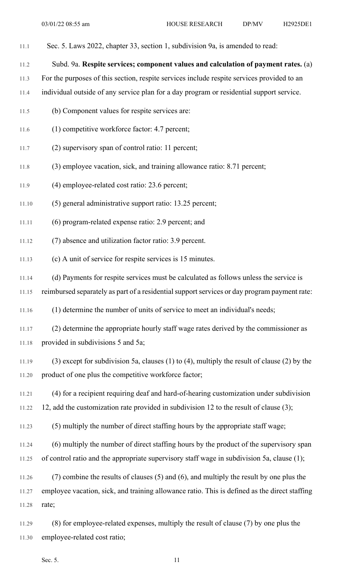- 11.1 Sec. 5. Laws 2022, chapter 33, section 1, subdivision 9a, is amended to read:
- 11.2 Subd. 9a. **Respite services; component values and calculation of payment rates.** (a)
- 11.3 For the purposes of this section, respite services include respite services provided to an
- 11.4 individual outside of any service plan for a day program or residential support service.
- 11.5 (b) Component values for respite services are:
- 11.6 (1) competitive workforce factor: 4.7 percent;
- 11.7 (2) supervisory span of control ratio: 11 percent;
- 11.8 (3) employee vacation, sick, and training allowance ratio: 8.71 percent;
- 11.9 (4) employee-related cost ratio: 23.6 percent;
- 11.10 (5) general administrative support ratio: 13.25 percent;
- 11.11 (6) program-related expense ratio: 2.9 percent; and
- 11.12 (7) absence and utilization factor ratio: 3.9 percent.
- 11.13 (c) A unit of service for respite services is 15 minutes.
- 11.14 (d) Payments for respite services must be calculated as follows unless the service is

11.15 reimbursed separately as part of a residential support services or day program payment rate:

11.16 (1) determine the number of units of service to meet an individual's needs;

- 11.17 (2) determine the appropriate hourly staff wage rates derived by the commissioner as 11.18 provided in subdivisions 5 and 5a;
- 11.19 (3) except for subdivision 5a, clauses (1) to (4), multiply the result of clause (2) by the 11.20 product of one plus the competitive workforce factor;
- 11.21 (4) for a recipient requiring deaf and hard-of-hearing customization under subdivision
- 11.22 12, add the customization rate provided in subdivision 12 to the result of clause (3);
- 11.23 (5) multiply the number of direct staffing hours by the appropriate staff wage;
- 11.24 (6) multiply the number of direct staffing hours by the product of the supervisory span 11.25 of control ratio and the appropriate supervisory staff wage in subdivision 5a, clause (1);
- 11.26 (7) combine the results of clauses (5) and (6), and multiply the result by one plus the 11.27 employee vacation, sick, and training allowance ratio. This is defined as the direct staffing 11.28 rate;
- 11.29 (8) for employee-related expenses, multiply the result of clause (7) by one plus the 11.30 employee-related cost ratio;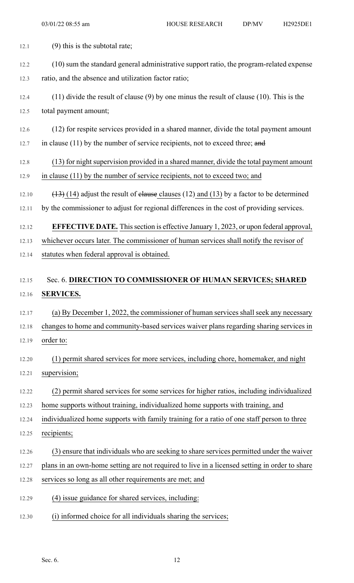| 12.1  | $(9)$ this is the subtotal rate;                                                                |
|-------|-------------------------------------------------------------------------------------------------|
| 12.2  | (10) sum the standard general administrative support ratio, the program-related expense         |
| 12.3  | ratio, and the absence and utilization factor ratio;                                            |
| 12.4  | $(11)$ divide the result of clause $(9)$ by one minus the result of clause $(10)$ . This is the |
| 12.5  | total payment amount;                                                                           |
| 12.6  | (12) for respite services provided in a shared manner, divide the total payment amount          |
| 12.7  | in clause $(11)$ by the number of service recipients, not to exceed three; and                  |
| 12.8  | (13) for night supervision provided in a shared manner, divide the total payment amount         |
| 12.9  | in clause (11) by the number of service recipients, not to exceed two; and                      |
| 12.10 | $(13)$ (14) adjust the result of elause clauses (12) and (13) by a factor to be determined      |
| 12.11 | by the commissioner to adjust for regional differences in the cost of providing services.       |
| 12.12 | <b>EFFECTIVE DATE.</b> This section is effective January 1, 2023, or upon federal approval,     |
| 12.13 | whichever occurs later. The commissioner of human services shall notify the revisor of          |
| 12.14 | statutes when federal approval is obtained.                                                     |
|       |                                                                                                 |
| 12.15 | Sec. 6. DIRECTION TO COMMISSIONER OF HUMAN SERVICES; SHARED                                     |
| 12.16 | <b>SERVICES.</b>                                                                                |
| 12.17 | (a) By December 1, 2022, the commissioner of human services shall seek any necessary            |
| 12.18 | changes to home and community-based services waiver plans regarding sharing services in         |
| 12.19 | order to:                                                                                       |
| 12.20 | (1) permit shared services for more services, including chore, homemaker, and night             |
| 12.21 | supervision;                                                                                    |
| 12.22 | (2) permit shared services for some services for higher ratios, including individualized        |
| 12.23 | home supports without training, individualized home supports with training, and                 |
| 12.24 | individualized home supports with family training for a ratio of one staff person to three      |
| 12.25 | recipients;                                                                                     |
| 12.26 | (3) ensure that individuals who are seeking to share services permitted under the waiver        |
| 12.27 | plans in an own-home setting are not required to live in a licensed setting in order to share   |
| 12.28 | services so long as all other requirements are met; and                                         |
| 12.29 | (4) issue guidance for shared services, including:                                              |
| 12.30 | (i) informed choice for all individuals sharing the services;                                   |